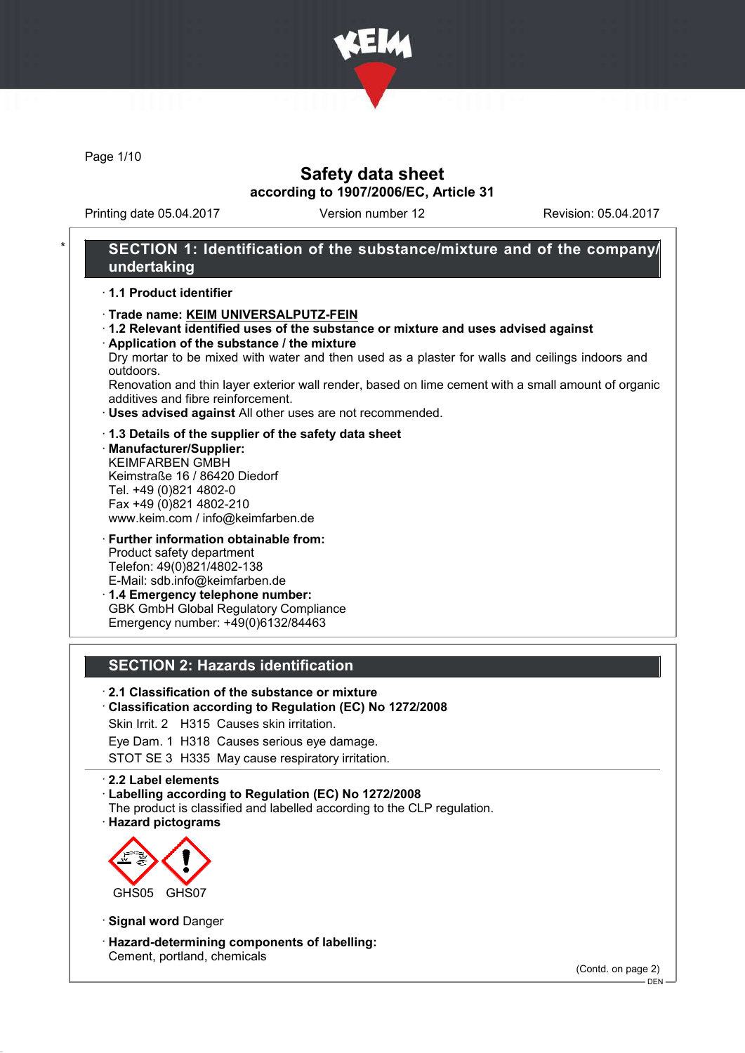

Page 1/10

# Safety data sheet according to 1907/2006/EC, Article 31

Printing date 05.04.2017 Version number 12 Revision: 05.04.2017

### SECTION 1: Identification of the substance/mixture and of the company/ undertaking

#### · 1.1 Product identifier

- · Trade name: KEIM UNIVERSALPUTZ-FEIN
- · 1.2 Relevant identified uses of the substance or mixture and uses advised against · Application of the substance / the mixture
- Dry mortar to be mixed with water and then used as a plaster for walls and ceilings indoors and outdoors.

Renovation and thin layer exterior wall render, based on lime cement with a small amount of organic additives and fibre reinforcement.

- · Uses advised against All other uses are not recommended.
- · 1.3 Details of the supplier of the safety data sheet
- · Manufacturer/Supplier: KEIMFARBEN GMBH Keimstraße 16 / 86420 Diedorf Tel. +49 (0)821 4802-0 Fax +49 (0)821 4802-210 www.keim.com / info@keimfarben.de
- · Further information obtainable from: Product safety department Telefon: 49(0)821/4802-138 E-Mail: sdb.info@keimfarben.de · 1.4 Emergency telephone number:
- GBK GmbH Global Regulatory Compliance Emergency number: +49(0)6132/84463

### SECTION 2: Hazards identification

### · 2.1 Classification of the substance or mixture

#### · Classification according to Regulation (EC) No 1272/2008

Skin Irrit. 2 H315 Causes skin irritation.

Eye Dam. 1 H318 Causes serious eye damage.

STOT SE 3 H335 May cause respiratory irritation.

#### · 2.2 Label elements

- · Labelling according to Regulation (EC) No 1272/2008
- The product is classified and labelled according to the CLP regulation.
- · Hazard pictograms



· Signal word Danger

· Hazard-determining components of labelling: Cement, portland, chemicals

(Contd. on page 2)

DEN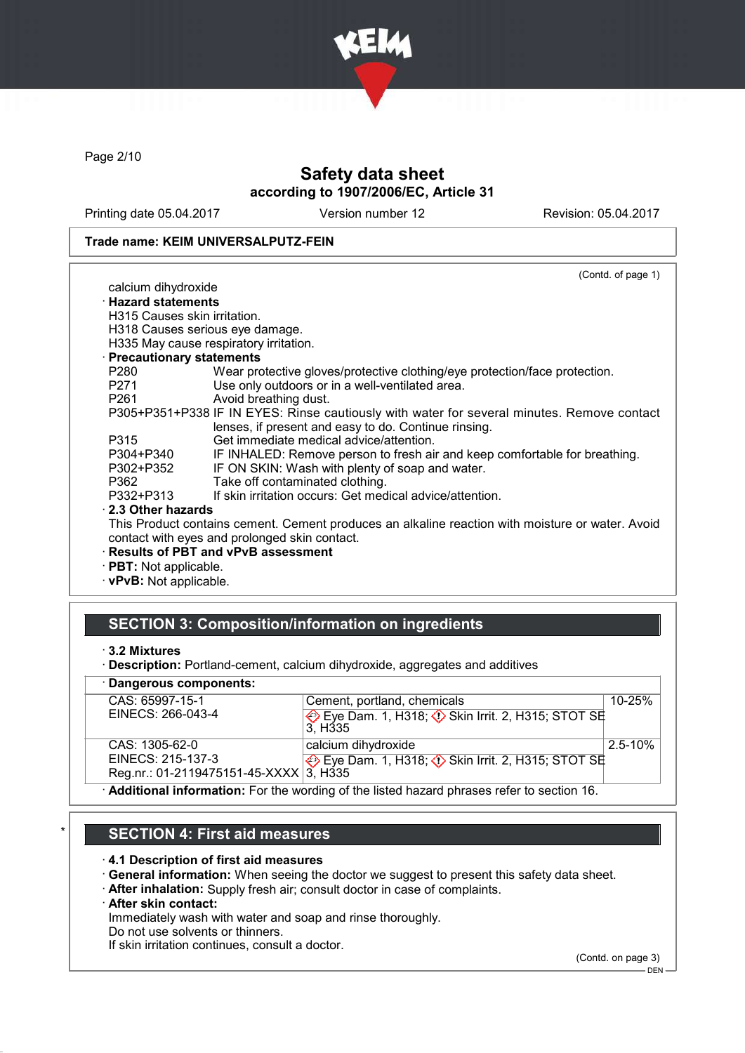

Page 2/10

# Safety data sheet according to 1907/2006/EC, Article 31

Printing date 05.04.2017 Version number 12 Revision: 05.04.2017

#### Trade name: KEIM UNIVERSALPUTZ-FEIN

|                               | (Contd. of page 1)                                                                               |
|-------------------------------|--------------------------------------------------------------------------------------------------|
| calcium dihydroxide           |                                                                                                  |
| <b>Hazard statements</b>      |                                                                                                  |
| H315 Causes skin irritation.  |                                                                                                  |
|                               | H318 Causes serious eye damage.                                                                  |
|                               | H335 May cause respiratory irritation.                                                           |
| · Precautionary statements    |                                                                                                  |
| P280                          | Wear protective gloves/protective clothing/eye protection/face protection.                       |
| P271                          | Use only outdoors or in a well-ventilated area.                                                  |
| P261 and the P261             | Avoid breathing dust.                                                                            |
|                               | P305+P351+P338 IF IN EYES: Rinse cautiously with water for several minutes. Remove contact       |
|                               | lenses, if present and easy to do. Continue rinsing.                                             |
| P315                          | Get immediate medical advice/attention.                                                          |
| P304+P340                     | IF INHALED: Remove person to fresh air and keep comfortable for breathing.                       |
| P302+P352                     | IF ON SKIN: Wash with plenty of soap and water.                                                  |
| P362                          | Take off contaminated clothing.                                                                  |
| P332+P313                     | If skin irritation occurs: Get medical advice/attention.                                         |
| 2.3 Other hazards             |                                                                                                  |
|                               | This Product contains cement. Cement produces an alkaline reaction with moisture or water. Avoid |
|                               | contact with eyes and prolonged skin contact.                                                    |
|                               | · Results of PBT and vPvB assessment                                                             |
| $\cdot$ PBT: Not applicable.  |                                                                                                  |
| $\cdot$ vPvB: Not applicable. |                                                                                                  |

### SECTION 3: Composition/information on ingredients

<sup>·</sup> Description: Portland-cement, calcium dihydroxide, aggregates and additives

| · Dangerous components:                |                                                                                             |             |  |  |
|----------------------------------------|---------------------------------------------------------------------------------------------|-------------|--|--|
| CAS: 65997-15-1                        | Cement, portland, chemicals                                                                 | $10 - 25%$  |  |  |
| EINECS: 266-043-4                      | Eye Dam. 1, H318; $\Diamond$ Skin Irrit. 2, H315; STOT SE<br>3. H <sub>335</sub>            |             |  |  |
| CAS: 1305-62-0                         | calcium dihydroxide                                                                         | $2.5 - 10%$ |  |  |
| EINECS: 215-137-3                      | Eye Dam. 1, H318; $\Diamond$ Skin Irrit. 2, H315; STOT SE                                   |             |  |  |
| Reg.nr.: 01-2119475151-45-XXXX 3, H335 |                                                                                             |             |  |  |
|                                        | . Additional information: Ear the wording of the listed because phrases refer to section 16 |             |  |  |

· Additional information: For the wording of the listed hazard phrases refer to section 16.

# **SECTION 4: First aid measures**

#### · 4.1 Description of first aid measures

- · General information: When seeing the doctor we suggest to present this safety data sheet.
- · After inhalation: Supply fresh air; consult doctor in case of complaints.

#### · After skin contact:

Immediately wash with water and soap and rinse thoroughly.

Do not use solvents or thinners.

If skin irritation continues, consult a doctor.

(Contd. on page 3)

<sup>·</sup> 3.2 Mixtures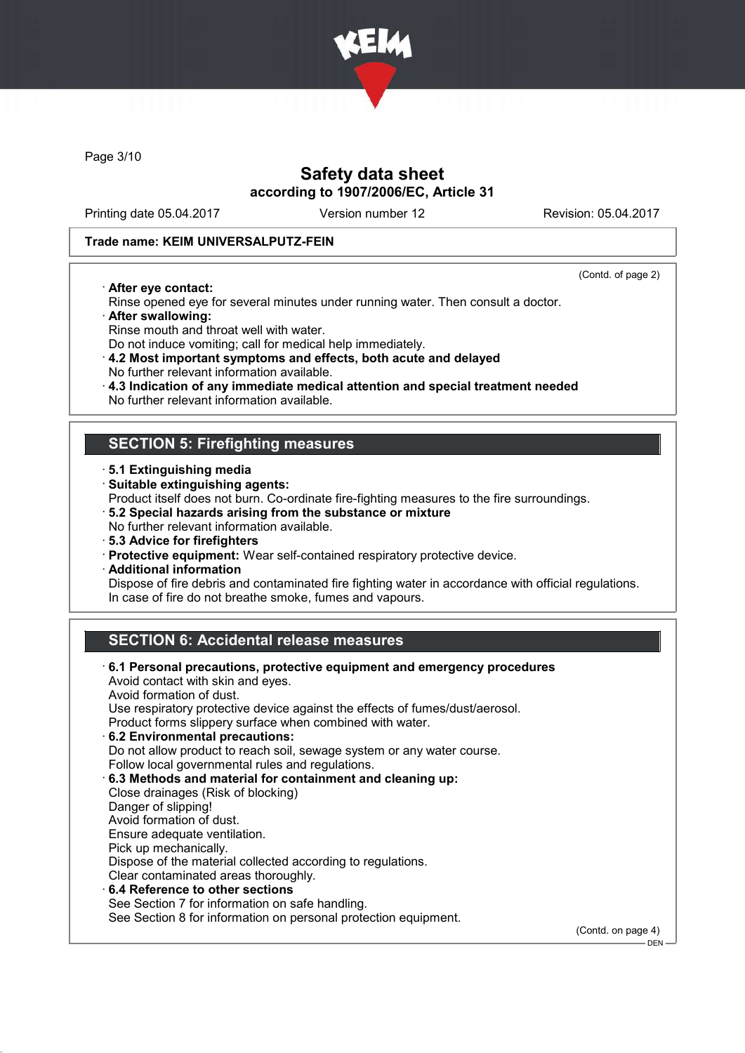

Page 3/10

# Safety data sheet according to 1907/2006/EC, Article 31

Printing date 05.04.2017 Version number 12 Revision: 05.04.2017

#### Trade name: KEIM UNIVERSALPUTZ-FEIN

· After eye contact:

(Contd. of page 2)

 $-$  DEN

- Rinse opened eye for several minutes under running water. Then consult a doctor.
- · After swallowing:
- Rinse mouth and throat well with water.
- Do not induce vomiting; call for medical help immediately.
- · 4.2 Most important symptoms and effects, both acute and delayed No further relevant information available.
- · 4.3 Indication of any immediate medical attention and special treatment needed
- No further relevant information available.

## SECTION 5: Firefighting measures

- · 5.1 Extinguishing media
- · Suitable extinguishing agents:
- Product itself does not burn. Co-ordinate fire-fighting measures to the fire surroundings.
- · 5.2 Special hazards arising from the substance or mixture
- No further relevant information available.
- · 5.3 Advice for firefighters
- · Protective equipment: Wear self-contained respiratory protective device.
- · Additional information

Dispose of fire debris and contaminated fire fighting water in accordance with official regulations. In case of fire do not breathe smoke, fumes and vapours.

# SECTION 6: Accidental release measures

· 6.1 Personal precautions, protective equipment and emergency procedures Avoid contact with skin and eyes. Avoid formation of dust. Use respiratory protective device against the effects of fumes/dust/aerosol. Product forms slippery surface when combined with water. · 6.2 Environmental precautions: Do not allow product to reach soil, sewage system or any water course. Follow local governmental rules and regulations. · 6.3 Methods and material for containment and cleaning up: Close drainages (Risk of blocking) Danger of slipping! Avoid formation of dust. Ensure adequate ventilation. Pick up mechanically. Dispose of the material collected according to regulations. Clear contaminated areas thoroughly. 6.4 Reference to other sections See Section 7 for information on safe handling. See Section 8 for information on personal protection equipment. (Contd. on page 4)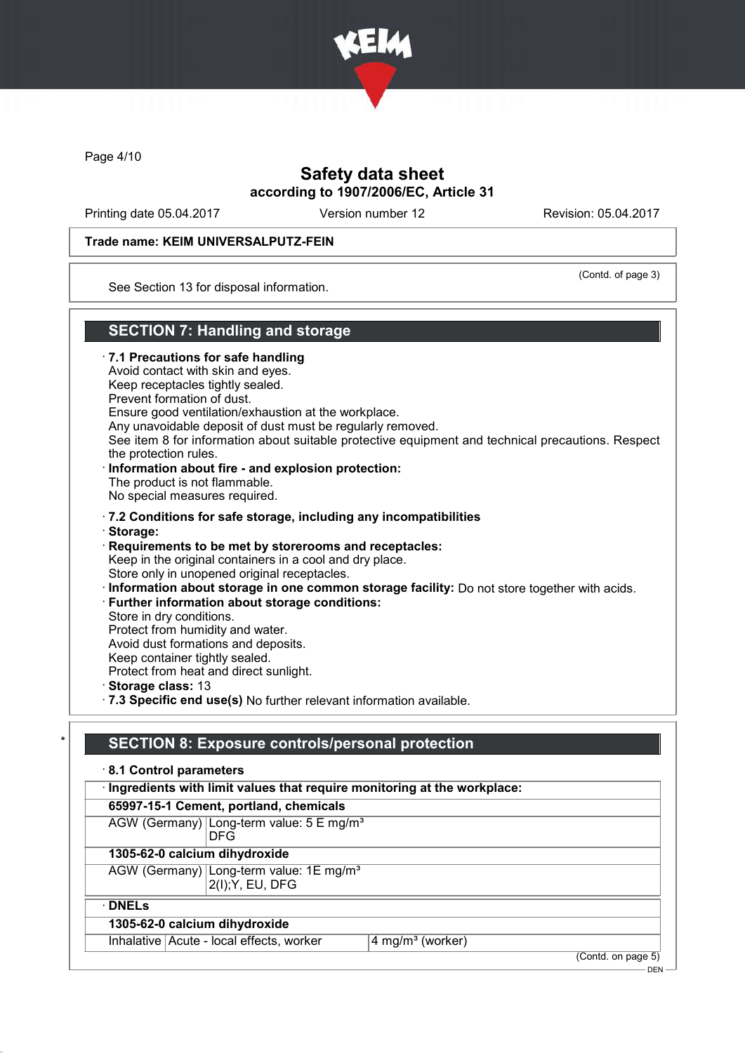

Page 4/10

# Safety data sheet according to 1907/2006/EC, Article 31

Printing date 05.04.2017 Version number 12 Revision: 05.04.2017

### Trade name: KEIM UNIVERSALPUTZ-FEIN

(Contd. of page 3)

See Section 13 for disposal information.

## SECTION 7: Handling and storage

· 7.1 Precautions for safe handling Avoid contact with skin and eyes. Keep receptacles tightly sealed. Prevent formation of dust. Ensure good ventilation/exhaustion at the workplace. Any unavoidable deposit of dust must be regularly removed. See item 8 for information about suitable protective equipment and technical precautions. Respect the protection rules. · Information about fire - and explosion protection: The product is not flammable. No special measures required. · 7.2 Conditions for safe storage, including any incompatibilities · Storage: · Requirements to be met by storerooms and receptacles: Keep in the original containers in a cool and dry place. Store only in unopened original receptacles. · Information about storage in one common storage facility: Do not store together with acids. · Further information about storage conditions: Store in dry conditions. Protect from humidity and water. Avoid dust formations and deposits. Keep container tightly sealed. Protect from heat and direct sunlight. · Storage class: 13 · 7.3 Specific end use(s) No further relevant information available.

# SECTION 8: Exposure controls/personal protection

| 8.1 Control parameters                                                    |                              |  |  |  |
|---------------------------------------------------------------------------|------------------------------|--|--|--|
| · Ingredients with limit values that require monitoring at the workplace: |                              |  |  |  |
| 65997-15-1 Cement, portland, chemicals                                    |                              |  |  |  |
| AGW (Germany) Long-term value: 5 E mg/m <sup>3</sup><br><b>DFG</b>        |                              |  |  |  |
| 1305-62-0 calcium dihydroxide                                             |                              |  |  |  |
| AGW (Germany) Long-term value: 1E mg/m <sup>3</sup><br>2(I); Y, EU, DFG   |                              |  |  |  |
| $\cdot$ DNELs                                                             |                              |  |  |  |
| 1305-62-0 calcium dihydroxide                                             |                              |  |  |  |
| Inhalative   Acute - local effects, worker                                | 4 mg/m <sup>3</sup> (worker) |  |  |  |
|                                                                           | (Contd. on page 5)           |  |  |  |

 $-$  DEN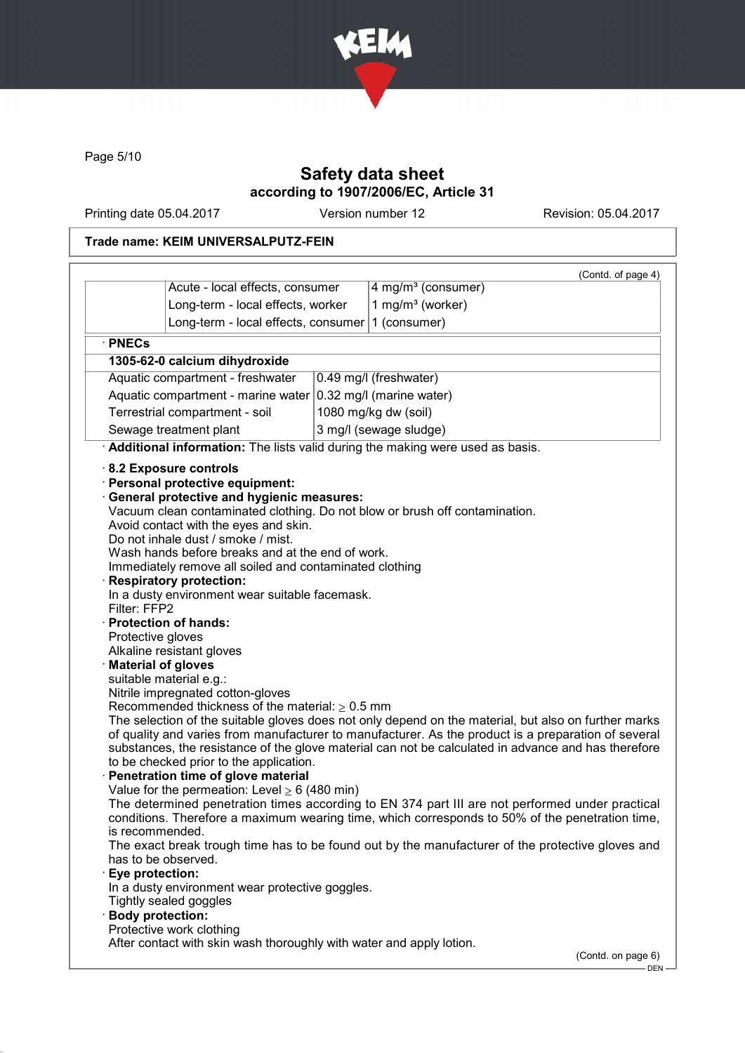

Page 5/10

# Safety data sheet according to 1907/2006/EC, Article 31

Printing date 05.04.2017 Version number 12 Revision: 05.04.2017

# Trade name: KEIM UNIVERSALPUTZ-FEIN

|                                                                               | Acute - local effects, consumer                                                                                                                                                                                                                                                                                                                                                                                                                                                                                                                                                                                                                                                       |  | 4 mg/m <sup>3</sup> (consumer)                                                                                                                                                                                                                                                                                                                                                                                                                                                                       | (Contd. of page 4) |
|-------------------------------------------------------------------------------|---------------------------------------------------------------------------------------------------------------------------------------------------------------------------------------------------------------------------------------------------------------------------------------------------------------------------------------------------------------------------------------------------------------------------------------------------------------------------------------------------------------------------------------------------------------------------------------------------------------------------------------------------------------------------------------|--|------------------------------------------------------------------------------------------------------------------------------------------------------------------------------------------------------------------------------------------------------------------------------------------------------------------------------------------------------------------------------------------------------------------------------------------------------------------------------------------------------|--------------------|
|                                                                               | Long-term - local effects, worker                                                                                                                                                                                                                                                                                                                                                                                                                                                                                                                                                                                                                                                     |  | 1 mg/m <sup>3</sup> (worker)                                                                                                                                                                                                                                                                                                                                                                                                                                                                         |                    |
|                                                                               | Long-term - local effects, consumer                                                                                                                                                                                                                                                                                                                                                                                                                                                                                                                                                                                                                                                   |  | 1 (consumer)                                                                                                                                                                                                                                                                                                                                                                                                                                                                                         |                    |
|                                                                               |                                                                                                                                                                                                                                                                                                                                                                                                                                                                                                                                                                                                                                                                                       |  |                                                                                                                                                                                                                                                                                                                                                                                                                                                                                                      |                    |
| · PNECs                                                                       |                                                                                                                                                                                                                                                                                                                                                                                                                                                                                                                                                                                                                                                                                       |  |                                                                                                                                                                                                                                                                                                                                                                                                                                                                                                      |                    |
|                                                                               | 1305-62-0 calcium dihydroxide                                                                                                                                                                                                                                                                                                                                                                                                                                                                                                                                                                                                                                                         |  |                                                                                                                                                                                                                                                                                                                                                                                                                                                                                                      |                    |
| Aquatic compartment - freshwater<br>0.49 mg/l (freshwater)                    |                                                                                                                                                                                                                                                                                                                                                                                                                                                                                                                                                                                                                                                                                       |  |                                                                                                                                                                                                                                                                                                                                                                                                                                                                                                      |                    |
| Aquatic compartment - marine water<br>0.32 mg/l (marine water)                |                                                                                                                                                                                                                                                                                                                                                                                                                                                                                                                                                                                                                                                                                       |  |                                                                                                                                                                                                                                                                                                                                                                                                                                                                                                      |                    |
| Terrestrial compartment - soil                                                |                                                                                                                                                                                                                                                                                                                                                                                                                                                                                                                                                                                                                                                                                       |  | 1080 mg/kg dw (soil)                                                                                                                                                                                                                                                                                                                                                                                                                                                                                 |                    |
| Sewage treatment plant                                                        |                                                                                                                                                                                                                                                                                                                                                                                                                                                                                                                                                                                                                                                                                       |  | 3 mg/l (sewage sludge)                                                                                                                                                                                                                                                                                                                                                                                                                                                                               |                    |
| Additional information: The lists valid during the making were used as basis. |                                                                                                                                                                                                                                                                                                                                                                                                                                                                                                                                                                                                                                                                                       |  |                                                                                                                                                                                                                                                                                                                                                                                                                                                                                                      |                    |
| Filter: FFP2<br>Protective gloves                                             | <b>General protective and hygienic measures:</b><br>Avoid contact with the eyes and skin.<br>Do not inhale dust / smoke / mist.<br>Wash hands before breaks and at the end of work.<br>Immediately remove all soiled and contaminated clothing<br><b>Respiratory protection:</b><br>In a dusty environment wear suitable facemask.<br>· Protection of hands:<br>Alkaline resistant gloves<br><b>Material of gloves</b><br>suitable material e.g.:<br>Nitrile impregnated cotton-gloves<br>Recommended thickness of the material: $\geq 0.5$ mm<br>to be checked prior to the application.<br>Penetration time of glove material<br>Value for the permeation: Level $\geq 6$ (480 min) |  | Vacuum clean contaminated clothing. Do not blow or brush off contamination.<br>The selection of the suitable gloves does not only depend on the material, but also on further marks<br>of quality and varies from manufacturer to manufacturer. As the product is a preparation of several<br>substances, the resistance of the glove material can not be calculated in advance and has therefore<br>The determined penetration times according to EN 374 part III are not performed under practical |                    |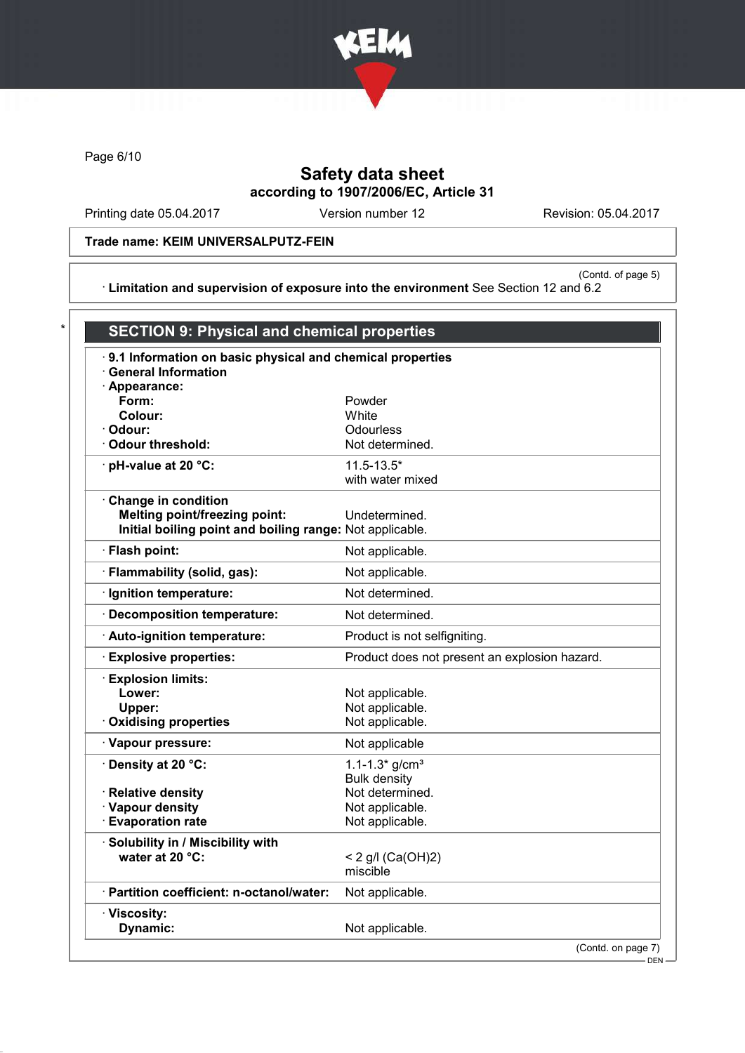

Page 6/10

# Safety data sheet according to 1907/2006/EC, Article 31

Printing date 05.04.2017 Version number 12 Revision: 05.04.2017

Trade name: KEIM UNIVERSALPUTZ-FEIN

(Contd. of page 5) · Limitation and supervision of exposure into the environment See Section 12 and 6.2

| .9.1 Information on basic physical and chemical properties<br>· General Information |                                               |  |
|-------------------------------------------------------------------------------------|-----------------------------------------------|--|
| · Appearance:                                                                       |                                               |  |
| Form:                                                                               | Powder                                        |  |
| Colour:                                                                             | White                                         |  |
| · Odour:                                                                            | Odourless                                     |  |
| Odour threshold:                                                                    | Not determined.                               |  |
| · pH-value at 20 °C:                                                                | $11.5 - 13.5*$                                |  |
|                                                                                     | with water mixed                              |  |
| Change in condition                                                                 |                                               |  |
| <b>Melting point/freezing point:</b>                                                | Undetermined.                                 |  |
| Initial boiling point and boiling range: Not applicable.                            |                                               |  |
| · Flash point:                                                                      | Not applicable.                               |  |
| · Flammability (solid, gas):                                                        | Not applicable.                               |  |
| · Ignition temperature:                                                             | Not determined.                               |  |
| · Decomposition temperature:                                                        | Not determined.                               |  |
| Auto-ignition temperature:                                                          | Product is not selfigniting.                  |  |
| <b>Explosive properties:</b>                                                        | Product does not present an explosion hazard. |  |
| <b>Explosion limits:</b>                                                            |                                               |  |
| Lower:                                                                              | Not applicable.                               |  |
| Upper:                                                                              | Not applicable.                               |  |
| <b>Oxidising properties</b>                                                         | Not applicable.                               |  |
| · Vapour pressure:                                                                  | Not applicable                                |  |
| · Density at 20 °C:                                                                 | 1.1-1.3* $g/cm3$                              |  |
|                                                                                     | <b>Bulk density</b>                           |  |
| · Relative density                                                                  | Not determined.                               |  |
| · Vapour density                                                                    | Not applicable.                               |  |
| <b>Evaporation rate</b>                                                             | Not applicable.                               |  |
| Solubility in / Miscibility with                                                    |                                               |  |
| water at 20 °C:                                                                     | < 2 g/l $(Ca(OH)2)$                           |  |
|                                                                                     | miscible                                      |  |
| · Partition coefficient: n-octanol/water:                                           | Not applicable.                               |  |
| · Viscosity:                                                                        |                                               |  |
| Dynamic:                                                                            | Not applicable.                               |  |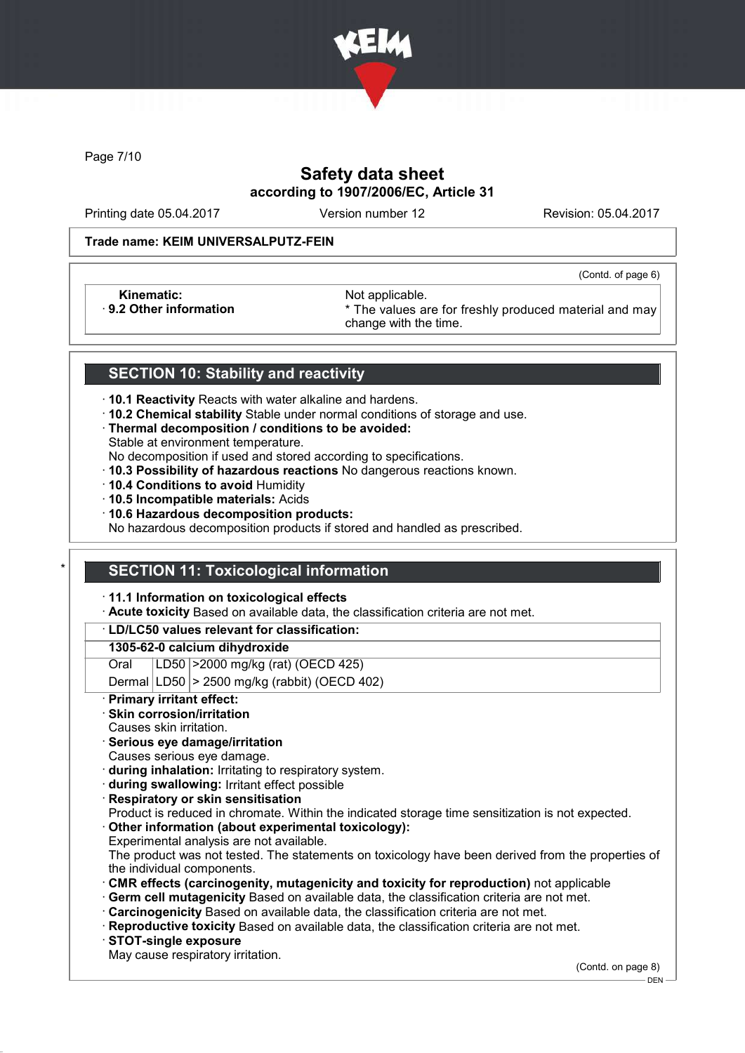

Page 7/10

# Safety data sheet according to 1907/2006/EC, Article 31

Printing date 05.04.2017 Version number 12 Revision: 05.04.2017

(Contd. of page 6)

#### Trade name: KEIM UNIVERSALPUTZ-FEIN

Kinematic: Not applicable.<br>
9.2 Other information **Accord 1989** The values are

\* The values are for freshly produced material and may change with the time.

### SECTION 10: Stability and reactivity

- · 10.1 Reactivity Reacts with water alkaline and hardens.
- · 10.2 Chemical stability Stable under normal conditions of storage and use.
- · Thermal decomposition / conditions to be avoided:
- Stable at environment temperature.
- No decomposition if used and stored according to specifications.
- · 10.3 Possibility of hazardous reactions No dangerous reactions known.
- · 10.4 Conditions to avoid Humidity
- · 10.5 Incompatible materials: Acids
- · 10.6 Hazardous decomposition products:

No hazardous decomposition products if stored and handled as prescribed.

### **SECTION 11: Toxicological information**

· 11.1 Information on toxicological effects

· Acute toxicity Based on available data, the classification criteria are not met.

### · LD/LC50 values relevant for classification:

#### 1305-62-0 calcium dihydroxide

Oral LD50 >2000 mg/kg (rat) (OECD 425)

Dermal  $|LD50|$  > 2500 mg/kg (rabbit) (OECD 402)

Primary irritant effect:

### Skin corrosion/irritation

- Causes skin irritation.
- · Serious eye damage/irritation
- Causes serious eye damage.
- · during inhalation: Irritating to respiratory system.
- · during swallowing: Irritant effect possible
- **Respiratory or skin sensitisation**
- Product is reduced in chromate. Within the indicated storage time sensitization is not expected.
- Other information (about experimental toxicology):
- Experimental analysis are not available.

The product was not tested. The statements on toxicology have been derived from the properties of the individual components.

- · CMR effects (carcinogenity, mutagenicity and toxicity for reproduction) not applicable
- Germ cell mutagenicity Based on available data, the classification criteria are not met.
- · Carcinogenicity Based on available data, the classification criteria are not met.
- · Reproductive toxicity Based on available data, the classification criteria are not met.
- · STOT-single exposure
- May cause respiratory irritation.

(Contd. on page 8)

DEN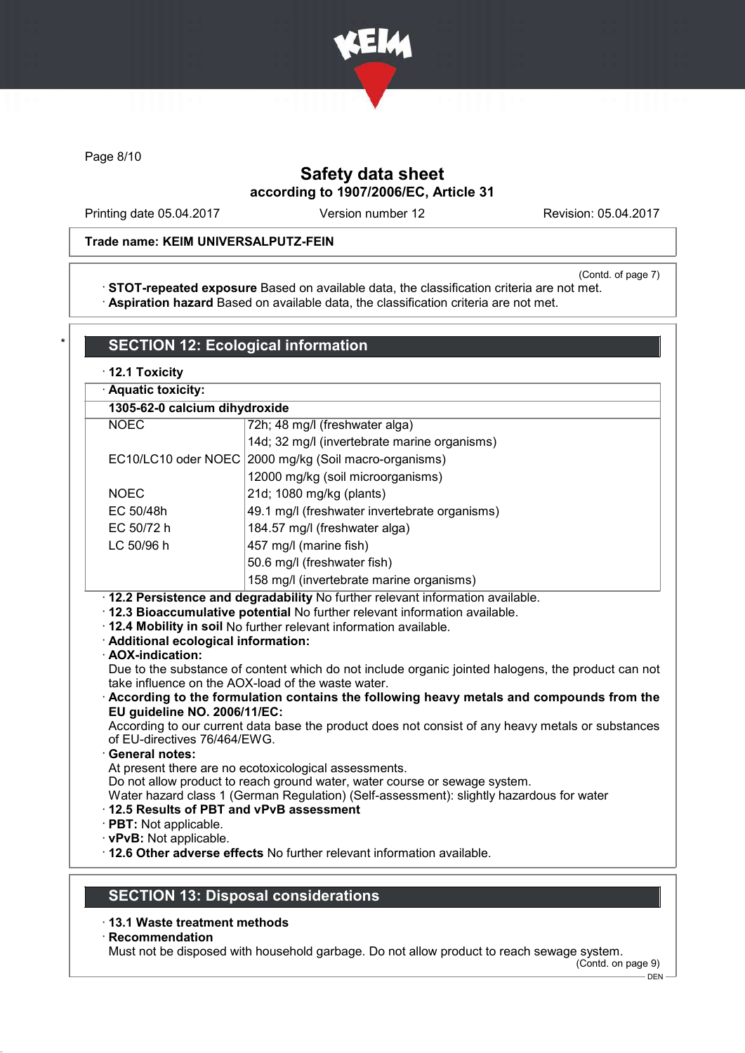

Page 8/10

# Safety data sheet according to 1907/2006/EC, Article 31

Printing date 05.04.2017 Version number 12 Revision: 05.04.2017

### Trade name: KEIM UNIVERSALPUTZ-FEIN

(Contd. of page 7)

· STOT-repeated exposure Based on available data, the classification criteria are not met. · Aspiration hazard Based on available data, the classification criteria are not met.

|                                                                                       | · Aquatic toxicity:                                                                                                                                                                                                                                                                                                                                                                                                                                                                   |  |
|---------------------------------------------------------------------------------------|---------------------------------------------------------------------------------------------------------------------------------------------------------------------------------------------------------------------------------------------------------------------------------------------------------------------------------------------------------------------------------------------------------------------------------------------------------------------------------------|--|
| 1305-62-0 calcium dihydroxide                                                         |                                                                                                                                                                                                                                                                                                                                                                                                                                                                                       |  |
| <b>NOEC</b>                                                                           | 72h; 48 mg/l (freshwater alga)                                                                                                                                                                                                                                                                                                                                                                                                                                                        |  |
|                                                                                       | 14d; 32 mg/l (invertebrate marine organisms)                                                                                                                                                                                                                                                                                                                                                                                                                                          |  |
| EC10/LC10 oder NOEC                                                                   | 2000 mg/kg (Soil macro-organisms)                                                                                                                                                                                                                                                                                                                                                                                                                                                     |  |
|                                                                                       | 12000 mg/kg (soil microorganisms)                                                                                                                                                                                                                                                                                                                                                                                                                                                     |  |
| <b>NOEC</b>                                                                           | 21d; 1080 mg/kg (plants)                                                                                                                                                                                                                                                                                                                                                                                                                                                              |  |
| EC 50/48h                                                                             | 49.1 mg/l (freshwater invertebrate organisms)                                                                                                                                                                                                                                                                                                                                                                                                                                         |  |
| EC 50/72 h                                                                            | 184.57 mg/l (freshwater alga)                                                                                                                                                                                                                                                                                                                                                                                                                                                         |  |
| LC 50/96 h                                                                            | 457 mg/l (marine fish)                                                                                                                                                                                                                                                                                                                                                                                                                                                                |  |
|                                                                                       | 50.6 mg/l (freshwater fish)                                                                                                                                                                                                                                                                                                                                                                                                                                                           |  |
|                                                                                       | 158 mg/l (invertebrate marine organisms)                                                                                                                                                                                                                                                                                                                                                                                                                                              |  |
| · Additional ecological information:<br>· AOX-indication:                             | · 12.2 Persistence and degradability No further relevant information available.<br>· 12.3 Bioaccumulative potential No further relevant information available.<br>. 12.4 Mobility in soil No further relevant information available.<br>Due to the substance of content which do not include organic jointed halogens, the product can not                                                                                                                                            |  |
| EU guideline NO. 2006/11/EC:<br>of EU-directives 76/464/EWG.<br><b>General notes:</b> | take influence on the AOX-load of the waste water.<br>According to the formulation contains the following heavy metals and compounds from the<br>According to our current data base the product does not consist of any heavy metals or substances<br>At present there are no ecotoxicological assessments.<br>Do not allow product to reach ground water, water course or sewage system.<br>Water hazard class 1 (German Regulation) (Self-assessment): slightly hazardous for water |  |

- · 13.1 Waste treatment methods
- · Recommendation

Must not be disposed with household garbage. Do not allow product to reach sewage system.

(Contd. on page 9)  $-$  DEN  $-$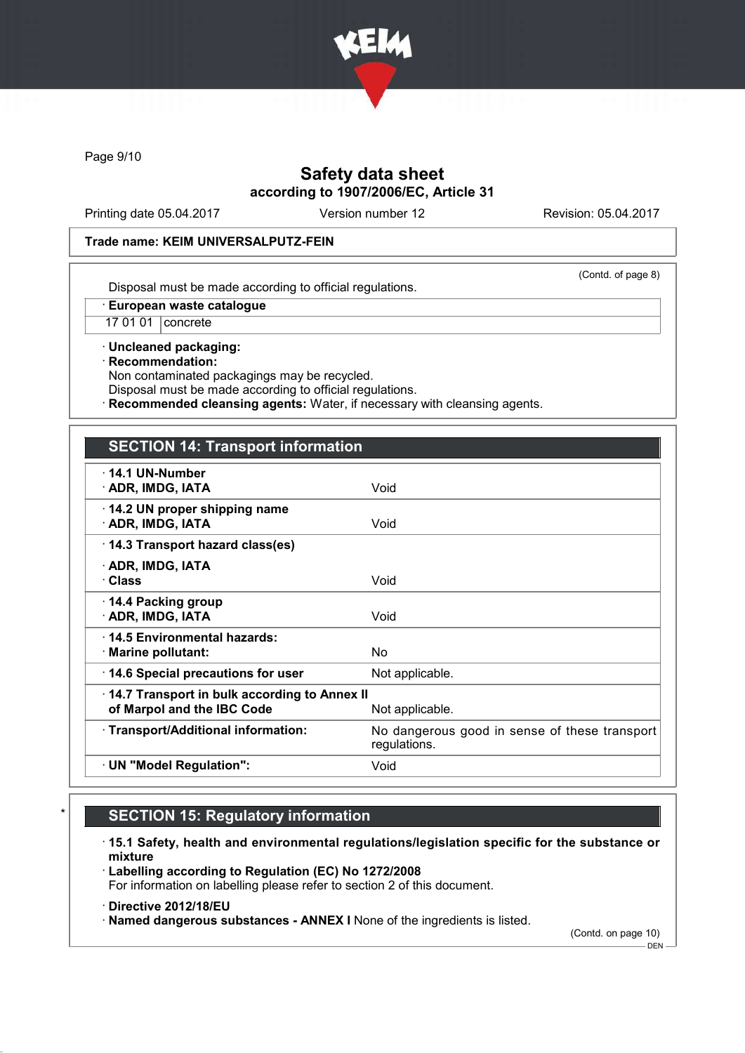

Page 9/10

# Safety data sheet according to 1907/2006/EC, Article 31

Printing date 05.04.2017 Version number 12 Revision: 05.04.2017

#### Trade name: KEIM UNIVERSALPUTZ-FEIN

(Contd. of page 8)

Disposal must be made according to official regulations.

· European waste catalogue

17 01 01 concrete

· Uncleaned packaging: · Recommendation: Non contaminated packagings may be recycled.

Disposal must be made according to official regulations.

Recommended cleansing agents: Water, if necessary with cleansing agents.

### SECTION 14: Transport information

| $\cdot$ 14.1 UN-Number<br>· ADR, IMDG, IATA                                | Void                                                          |
|----------------------------------------------------------------------------|---------------------------------------------------------------|
| 14.2 UN proper shipping name<br>· ADR, IMDG, IATA                          | Void                                                          |
| 14.3 Transport hazard class(es)                                            |                                                               |
| · ADR, IMDG, IATA<br>· Class                                               | Void                                                          |
| 14.4 Packing group<br>· ADR, IMDG, IATA                                    | Void                                                          |
| 14.5 Environmental hazards:<br>$\cdot$ Marine pollutant:                   | No.                                                           |
| 14.6 Special precautions for user                                          | Not applicable.                                               |
| 14.7 Transport in bulk according to Annex II<br>of Marpol and the IBC Code | Not applicable.                                               |
| · Transport/Additional information:                                        | No dangerous good in sense of these transport<br>regulations. |
| $\cdot$ UN "Model Regulation":                                             | Void                                                          |

# **SECTION 15: Regulatory information**

· 15.1 Safety, health and environmental regulations/legislation specific for the substance or mixture

· Labelling according to Regulation (EC) No 1272/2008 For information on labelling please refer to section 2 of this document.

· Directive 2012/18/EU

· Named dangerous substances - ANNEX I None of the ingredients is listed.

(Contd. on page 10)

 $-$  DEN